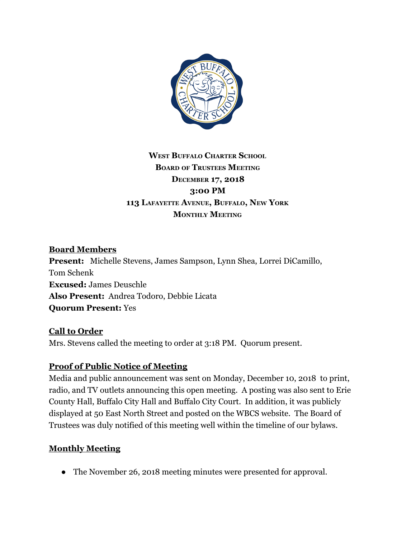

## **WEST BUFFALO CHARTER SCHOOL BOARD OF TRUSTEES MEETING DECEMBER 17, 2018 3:00 PM 113 LAFAYETTE AVENUE, BUFFALO, NEW YORK MONTHLY MEETING**

### **Board Members**

**Present:** Michelle Stevens, James Sampson, Lynn Shea, Lorrei DiCamillo, Tom Schenk **Excused:** James Deuschle **Also Present:** Andrea Todoro, Debbie Licata **Quorum Present:** Yes

#### **Call to Order**

Mrs. Stevens called the meeting to order at 3:18 PM. Quorum present.

### **Proof of Public Notice of Meeting**

Media and public announcement was sent on Monday, December 10, 2018 to print, radio, and TV outlets announcing this open meeting. A posting was also sent to Erie County Hall, Buffalo City Hall and Buffalo City Court. In addition, it was publicly displayed at 50 East North Street and posted on the WBCS website. The Board of Trustees was duly notified of this meeting well within the timeline of our bylaws.

### **Monthly Meeting**

• The November 26, 2018 meeting minutes were presented for approval.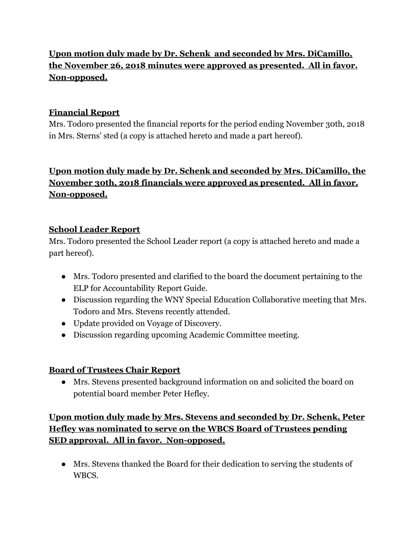## **Upon motion duly made by Dr. Schenk and seconded by Mrs. DiCamillo, the November 26, 2018 minutes were approved as presented. All in favor. Non-opposed.**

### **Financial Report**

Mrs. Todoro presented the financial reports for the period ending November 30th, 2018 in Mrs. Sterns' sted (a copy is attached hereto and made a part hereof).

# **Upon motion duly made by Dr. Schenk and seconded by Mrs. DiCamillo, the November 30th, 2018 financials were approved as presented. All in favor. Non-opposed.**

### **School Leader Report**

Mrs. Todoro presented the School Leader report (a copy is attached hereto and made a part hereof).

- **●** Mrs. Todoro presented and clarified to the board the document pertaining to the ELP for Accountability Report Guide.
- Discussion regarding the WNY Special Education Collaborative meeting that Mrs. Todoro and Mrs. Stevens recently attended.
- Update provided on Voyage of Discovery.
- Discussion regarding upcoming Academic Committee meeting.

### **Board of Trustees Chair Report**

● Mrs. Stevens presented background information on and solicited the board on potential board member Peter Hefley.

## **Upon motion duly made by Mrs. Stevens and seconded by Dr. Schenk, Peter Hefley was nominated to serve on the WBCS Board of Trustees pending SED approval. All in favor. Non-opposed.**

● Mrs. Stevens thanked the Board for their dedication to serving the students of WBCS.